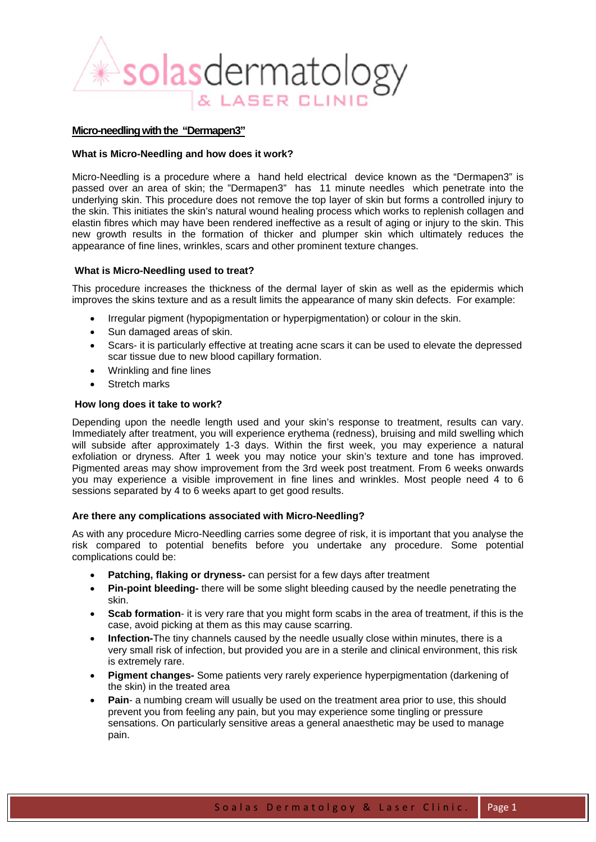

# **Micro-needling with the "Dermapen3"**

#### **What is Micro-Needling and how does it work?**

Micro-Needling is a procedure where a hand held electrical device known as the "Dermapen3" is passed over an area of skin; the "Dermapen3" has 11 minute needles which penetrate into the underlying skin. This procedure does not remove the top layer of skin but forms a controlled injury to the skin. This initiates the skin's natural wound healing process which works to replenish collagen and elastin fibres which may have been rendered ineffective as a result of aging or injury to the skin. This new growth results in the formation of thicker and plumper skin which ultimately reduces the appearance of fine lines, wrinkles, scars and other prominent texture changes.

#### **What is Micro-Needling used to treat?**

This procedure increases the thickness of the dermal layer of skin as well as the epidermis which improves the skins texture and as a result limits the appearance of many skin defects. For example:

- Irregular pigment (hypopigmentation or hyperpigmentation) or colour in the skin.
- Sun damaged areas of skin.
- Scars- it is particularly effective at treating acne scars it can be used to elevate the depressed scar tissue due to new blood capillary formation.
- Wrinkling and fine lines
- Stretch marks

## **How long does it take to work?**

Depending upon the needle length used and your skin's response to treatment, results can vary. Immediately after treatment, you will experience erythema (redness), bruising and mild swelling which will subside after approximately 1-3 days. Within the first week, you may experience a natural exfoliation or dryness. After 1 week you may notice your skin's texture and tone has improved. Pigmented areas may show improvement from the 3rd week post treatment. From 6 weeks onwards you may experience a visible improvement in fine lines and wrinkles. Most people need 4 to 6 sessions separated by 4 to 6 weeks apart to get good results.

## **Are there any complications associated with Micro-Needling?**

As with any procedure Micro-Needling carries some degree of risk, it is important that you analyse the risk compared to potential benefits before you undertake any procedure. Some potential complications could be:

- **Patching, flaking or dryness-** can persist for a few days after treatment
- **Pin-point bleeding-** there will be some slight bleeding caused by the needle penetrating the skin.
- **Scab formation** it is very rare that you might form scabs in the area of treatment, if this is the case, avoid picking at them as this may cause scarring.
- **Infection-**The tiny channels caused by the needle usually close within minutes, there is a very small risk of infection, but provided you are in a sterile and clinical environment, this risk is extremely rare.
- **Pigment changes-** Some patients very rarely experience hyperpigmentation (darkening of the skin) in the treated area
- **Pain** a numbing cream will usually be used on the treatment area prior to use, this should prevent you from feeling any pain, but you may experience some tingling or pressure sensations. On particularly sensitive areas a general anaesthetic may be used to manage pain.